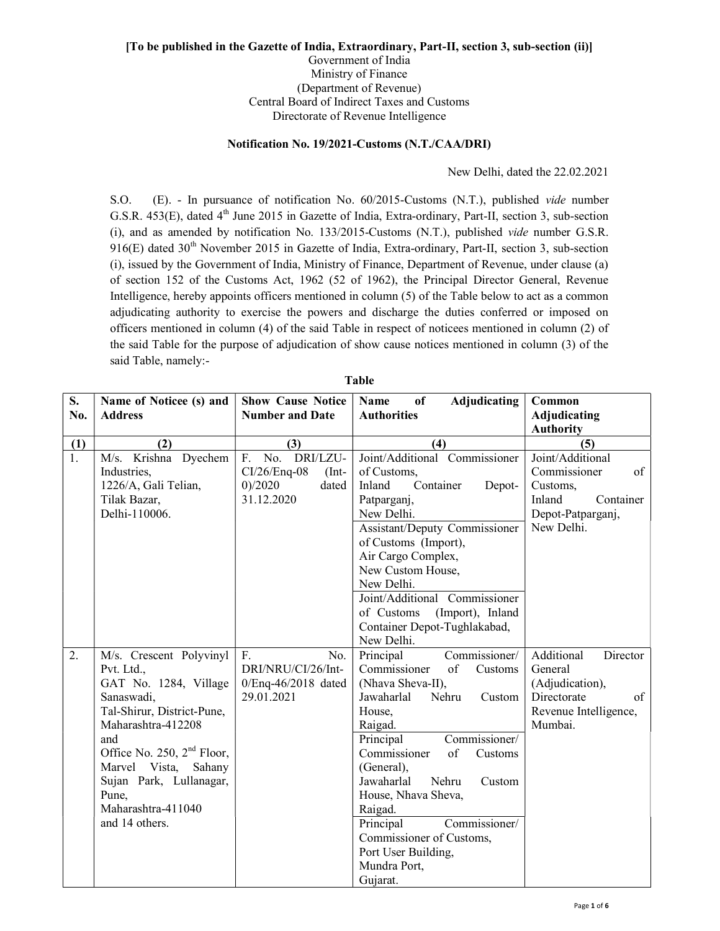## [To be published in the Gazette of India, Extraordinary, Part-II, section 3, sub-section (ii)] Government of India Ministry of Finance (Department of Revenue) Central Board of Indirect Taxes and Customs

Directorate of Revenue Intelligence

## Notification No. 19/2021-Customs (N.T./CAA/DRI)

New Delhi, dated the 22.02.2021

S.O. (E). - In pursuance of notification No. 60/2015-Customs (N.T.), published vide number G.S.R. 453(E), dated 4<sup>th</sup> June 2015 in Gazette of India, Extra-ordinary, Part-II, section 3, sub-section (i), and as amended by notification No. 133/2015-Customs (N.T.), published vide number G.S.R.  $916(E)$  dated  $30<sup>th</sup>$  November 2015 in Gazette of India, Extra-ordinary, Part-II, section 3, sub-section (i), issued by the Government of India, Ministry of Finance, Department of Revenue, under clause (a) of section 152 of the Customs Act, 1962 (52 of 1962), the Principal Director General, Revenue Intelligence, hereby appoints officers mentioned in column (5) of the Table below to act as a common adjudicating authority to exercise the powers and discharge the duties conferred or imposed on officers mentioned in column (4) of the said Table in respect of noticees mentioned in column (2) of the said Table for the purpose of adjudication of show cause notices mentioned in column (3) of the said Table, namely:-

| S.<br>No.        | Name of Noticee (s) and<br><b>Address</b>                                                                                                                                                                                                                                   | <b>Show Cause Notice</b><br><b>Number and Date</b>                                   | <b>Adjudicating</b><br>of<br><b>Name</b><br><b>Authorities</b>                                                                                                                                                                                                                                                                                                                                      | Common<br><b>Adjudicating</b>                                                                                 |
|------------------|-----------------------------------------------------------------------------------------------------------------------------------------------------------------------------------------------------------------------------------------------------------------------------|--------------------------------------------------------------------------------------|-----------------------------------------------------------------------------------------------------------------------------------------------------------------------------------------------------------------------------------------------------------------------------------------------------------------------------------------------------------------------------------------------------|---------------------------------------------------------------------------------------------------------------|
|                  |                                                                                                                                                                                                                                                                             |                                                                                      |                                                                                                                                                                                                                                                                                                                                                                                                     | <b>Authority</b>                                                                                              |
| (1)              | (2)                                                                                                                                                                                                                                                                         | (3)                                                                                  | (4)                                                                                                                                                                                                                                                                                                                                                                                                 | (5)                                                                                                           |
| $\overline{1}$ . | M/s. Krishna Dyechem<br>Industries,<br>1226/A, Gali Telian,<br>Tilak Bazar,<br>Delhi-110006.                                                                                                                                                                                | DRI/LZU-<br>F.<br>No.<br>$CI/26/Eng-08$<br>$(Int-$<br>0)/2020<br>dated<br>31.12.2020 | Joint/Additional Commissioner<br>of Customs,<br>Inland<br>Container<br>Depot-<br>Patparganj,<br>New Delhi.<br>Assistant/Deputy Commissioner<br>of Customs (Import),<br>Air Cargo Complex,<br>New Custom House,<br>New Delhi.<br>Joint/Additional Commissioner<br>(Import), Inland<br>of Customs<br>Container Depot-Tughlakabad,                                                                     | Joint/Additional<br>Commissioner<br>of<br>Customs,<br>Inland<br>Container<br>Depot-Patparganj,<br>New Delhi.  |
|                  |                                                                                                                                                                                                                                                                             |                                                                                      | New Delhi.                                                                                                                                                                                                                                                                                                                                                                                          |                                                                                                               |
| 2.               | M/s. Crescent Polyvinyl<br>Pvt. Ltd.,<br>GAT No. 1284, Village<br>Sanaswadi,<br>Tal-Shirur, District-Pune,<br>Maharashtra-412208<br>and<br>Office No. 250, $2nd$ Floor,<br>Marvel Vista, Sahany<br>Sujan Park, Lullanagar,<br>Pune,<br>Maharashtra-411040<br>and 14 others. | F <sub>r</sub><br>No.<br>DRI/NRU/CI/26/Int-<br>$0/Eng-46/2018$ dated<br>29.01.2021   | Principal<br>Commissioner/<br>Commissioner<br>of<br>Customs<br>(Nhava Sheva-II),<br>Nehru<br>Jawaharlal<br>Custom<br>House,<br>Raigad.<br>Commissioner/<br>Principal<br>of<br>Commissioner<br>Customs<br>(General),<br>Jawaharlal<br>Nehru<br>Custom<br>House, Nhava Sheva,<br>Raigad.<br>Commissioner/<br>Principal<br>Commissioner of Customs,<br>Port User Building,<br>Mundra Port,<br>Gujarat. | Additional<br>Director<br>General<br>(Adjudication),<br>Directorate<br>of<br>Revenue Intelligence,<br>Mumbai. |

Table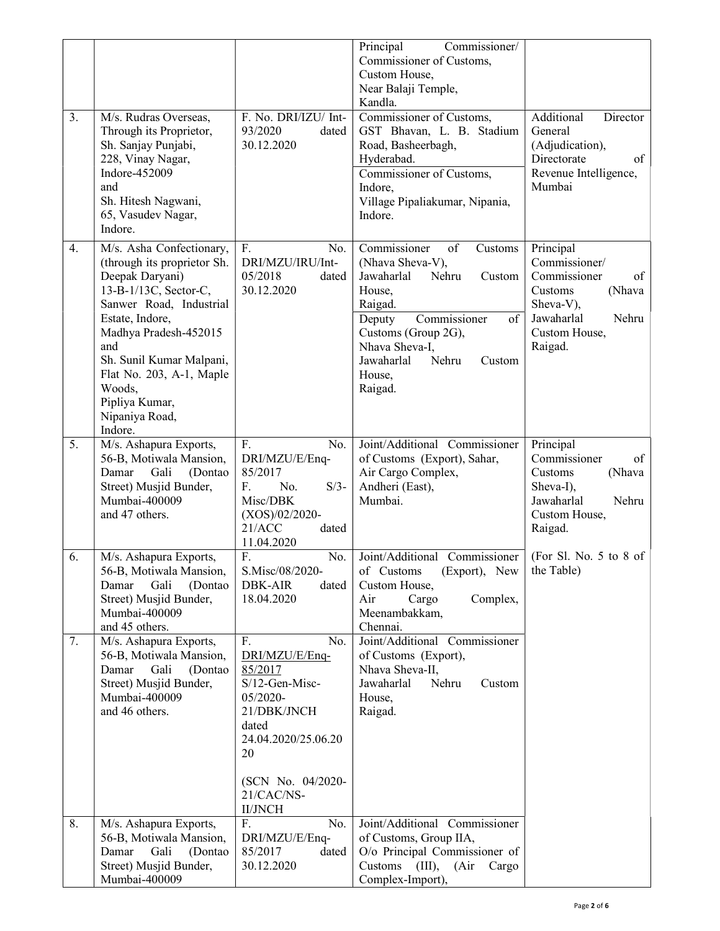|    |                                                                                                                                                                                                                                                                                                    |                                                                                                                                                                                | Principal<br>Commissioner/<br>Commissioner of Customs,<br>Custom House,<br>Near Balaji Temple,                                                                                                                                         |                                                                                                                                       |
|----|----------------------------------------------------------------------------------------------------------------------------------------------------------------------------------------------------------------------------------------------------------------------------------------------------|--------------------------------------------------------------------------------------------------------------------------------------------------------------------------------|----------------------------------------------------------------------------------------------------------------------------------------------------------------------------------------------------------------------------------------|---------------------------------------------------------------------------------------------------------------------------------------|
| 3. | M/s. Rudras Overseas,<br>Through its Proprietor,<br>Sh. Sanjay Punjabi,<br>228, Vinay Nagar,<br>Indore-452009<br>and<br>Sh. Hitesh Nagwani,<br>65, Vasudev Nagar,<br>Indore.                                                                                                                       | F. No. DRI/IZU/ Int-<br>93/2020<br>dated<br>30.12.2020                                                                                                                         | Kandla.<br>Commissioner of Customs,<br>GST Bhavan, L. B. Stadium<br>Road, Basheerbagh,<br>Hyderabad.<br>Commissioner of Customs,<br>Indore,<br>Village Pipaliakumar, Nipania,<br>Indore.                                               | Additional<br>Director<br>General<br>(Adjudication),<br>Directorate<br>of<br>Revenue Intelligence,<br>Mumbai                          |
| 4. | M/s. Asha Confectionary,<br>(through its proprietor Sh.<br>Deepak Daryani)<br>13-B-1/13C, Sector-C,<br>Sanwer Road, Industrial<br>Estate, Indore,<br>Madhya Pradesh-452015<br>and<br>Sh. Sunil Kumar Malpani,<br>Flat No. 203, A-1, Maple<br>Woods,<br>Pipliya Kumar,<br>Nipaniya Road,<br>Indore. | F.<br>No.<br>DRI/MZU/IRU/Int-<br>05/2018<br>dated<br>30.12.2020                                                                                                                | Commissioner<br>of<br>Customs<br>(Nhava Sheva-V),<br>Jawaharlal<br>Nehru<br>Custom<br>House,<br>Raigad.<br>Commissioner<br>of<br>Deputy<br>Customs (Group 2G),<br>Nhava Sheva-I.<br>Jawaharlal<br>Nehru<br>Custom<br>House,<br>Raigad. | Principal<br>Commissioner/<br>Commissioner<br>of<br>(Nhava<br>Customs<br>Sheva-V),<br>Jawaharlal<br>Nehru<br>Custom House,<br>Raigad. |
| 5. | M/s. Ashapura Exports,<br>56-B, Motiwala Mansion,<br>Damar<br>Gali<br>(Dontao)<br>Street) Musjid Bunder,<br>Mumbai-400009<br>and 47 others.                                                                                                                                                        | F.<br>No.<br>DRI/MZU/E/Enq-<br>85/2017<br>$S/3-$<br>$F_{\rm{L}}$<br>No.<br>Misc/DBK<br>$(XOS)/02/2020$ -<br>21/ACC<br>dated<br>11.04.2020                                      | Joint/Additional Commissioner<br>of Customs (Export), Sahar,<br>Air Cargo Complex,<br>Andheri (East),<br>Mumbai.                                                                                                                       | Principal<br>Commissioner<br>of<br>(Nhava<br>Customs<br>Sheva-I),<br>Jawaharlal<br>Nehru<br>Custom House,<br>Raigad.                  |
| 6. | M/s. Ashapura Exports,<br>56-B, Motiwala Mansion,<br>Damar<br>Gali<br>(Dontao)<br>Street) Musjid Bunder,<br>Mumbai-400009<br>and 45 others.                                                                                                                                                        | No.<br>F.<br>S.Misc/08/2020-<br><b>DBK-AIR</b><br>dated<br>18.04.2020                                                                                                          | Joint/Additional Commissioner<br>(Export), New<br>of Customs<br>Custom House,<br>Air<br>Cargo<br>Complex,<br>Meenambakkam,<br>Chennai.                                                                                                 | (For Sl. No. $5$ to $8$ of<br>the Table)                                                                                              |
| 7. | M/s. Ashapura Exports,<br>56-B, Motiwala Mansion,<br>Damar<br>Gali<br>(Dontao)<br>Street) Musjid Bunder,<br>Mumbai-400009<br>and 46 others.                                                                                                                                                        | F.<br>No.<br>DRI/MZU/E/Enq-<br>85/2017<br>S/12-Gen-Misc-<br>05/2020-<br>21/DBK/JNCH<br>dated<br>24.04.2020/25.06.20<br>20<br>(SCN No. 04/2020-<br>21/CAC/NS-<br><b>II/JNCH</b> | Joint/Additional Commissioner<br>of Customs (Export),<br>Nhava Sheva-II,<br>Jawaharlal<br>Nehru<br>Custom<br>House,<br>Raigad.                                                                                                         |                                                                                                                                       |
| 8. | M/s. Ashapura Exports,<br>56-B, Motiwala Mansion,<br>Gali<br>Damar<br>(Dontao)<br>Street) Musjid Bunder,<br>Mumbai-400009                                                                                                                                                                          | F.<br>No.<br>DRI/MZU/E/Enq-<br>85/2017<br>dated<br>30.12.2020                                                                                                                  | Joint/Additional Commissioner<br>of Customs, Group IIA,<br>O/o Principal Commissioner of<br>Customs<br>(III),<br>(Air)<br>Cargo<br>Complex-Import),                                                                                    |                                                                                                                                       |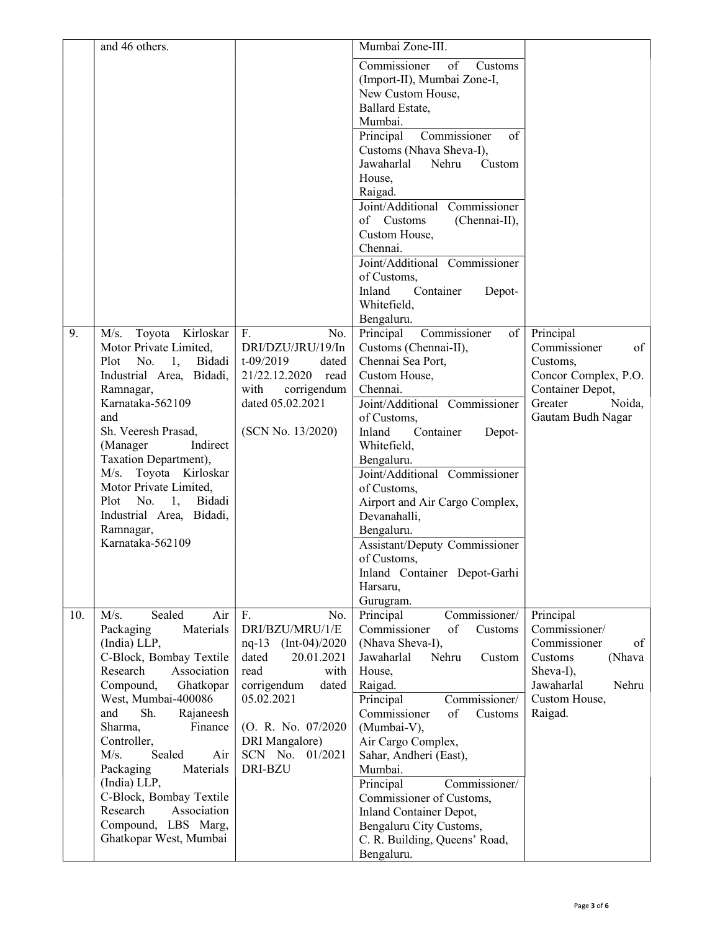|     | and 46 others.                                                                                                                                                                                                                                                                                                                                                                                                   |                                                                                                                                                                                                         | Mumbai Zone-III.                                                                                                                                                                                                                                                                                                                                                                                                                                                                                                                                                                                                                                                                                                                                                                                                                                                                                     |                                                                                                                                       |
|-----|------------------------------------------------------------------------------------------------------------------------------------------------------------------------------------------------------------------------------------------------------------------------------------------------------------------------------------------------------------------------------------------------------------------|---------------------------------------------------------------------------------------------------------------------------------------------------------------------------------------------------------|------------------------------------------------------------------------------------------------------------------------------------------------------------------------------------------------------------------------------------------------------------------------------------------------------------------------------------------------------------------------------------------------------------------------------------------------------------------------------------------------------------------------------------------------------------------------------------------------------------------------------------------------------------------------------------------------------------------------------------------------------------------------------------------------------------------------------------------------------------------------------------------------------|---------------------------------------------------------------------------------------------------------------------------------------|
| 9.  | Toyota Kirloskar<br>M/s.<br>Motor Private Limited,<br>1, Bidadi<br>Plot<br>No.<br>Industrial Area, Bidadi,<br>Ramnagar,<br>Karnataka-562109<br>and<br>Sh. Veeresh Prasad,<br>Indirect<br>(Manager<br>Taxation Department),<br>M/s. Toyota Kirloskar<br>Motor Private Limited,<br>1,<br>Bidadi<br>Plot<br>No.<br>Industrial Area, Bidadi,<br>Ramnagar,<br>Karnataka-562109                                        | F.<br>No.<br>DRI/DZU/JRU/19/In<br>$t - 09/2019$<br>dated<br>21/22.12.2020<br>read<br>with<br>corrigendum<br>dated 05.02.2021<br>(SCN No. 13/2020)                                                       | Commissioner<br>of<br>Customs<br>(Import-II), Mumbai Zone-I,<br>New Custom House,<br>Ballard Estate,<br>Mumbai.<br>Commissioner<br>of<br>Principal<br>Customs (Nhava Sheva-I),<br>Jawaharlal<br>Nehru<br>Custom<br>House,<br>Raigad.<br>Joint/Additional Commissioner<br>of Customs<br>(Chennai-II),<br>Custom House,<br>Chennai.<br>Joint/Additional Commissioner<br>of Customs,<br>Inland<br>Container<br>Depot-<br>Whitefield,<br>Bengaluru.<br>Commissioner<br>Principal<br>of<br>Customs (Chennai-II),<br>Chennai Sea Port,<br>Custom House,<br>Chennai.<br>Joint/Additional Commissioner<br>of Customs,<br>Inland<br>Container<br>Depot-<br>Whitefield,<br>Bengaluru.<br>Joint/Additional Commissioner<br>of Customs,<br>Airport and Air Cargo Complex,<br>Devanahalli,<br>Bengaluru.<br>Assistant/Deputy Commissioner<br>of Customs,<br>Inland Container Depot-Garhi<br>Harsaru,<br>Gurugram. | Principal<br>of<br>Commissioner<br>Customs,<br>Concor Complex, P.O.<br>Container Depot,<br>Noida,<br>Greater<br>Gautam Budh Nagar     |
| 10. | M/s.<br>Sealed<br>Air<br>Materials<br>Packaging<br>(India) LLP,<br>C-Block, Bombay Textile<br>Research<br>Association<br>Compound,<br>Ghatkopar<br>West, Mumbai-400086<br>and<br>Sh.<br>Rajaneesh<br>Sharma,<br>Finance<br>Controller,<br>M/s.<br>Sealed<br>Air<br>Packaging<br>Materials<br>(India) LLP,<br>C-Block, Bombay Textile<br>Research<br>Association<br>Compound, LBS Marg,<br>Ghatkopar West, Mumbai | F.<br>No.<br>DRI/BZU/MRU/1/E<br>nq-13 (Int-04)/2020<br>dated<br>20.01.2021<br>read<br>with<br>corrigendum<br>dated<br>05.02.2021<br>(O. R. No. 07/2020)<br>DRI Mangalore)<br>SCN No. 01/2021<br>DRI-BZU | Principal<br>Commissioner/<br>Commissioner<br>of<br>Customs<br>(Nhava Sheva-I),<br>Jawaharlal<br>Nehru<br>Custom<br>House,<br>Raigad.<br>Principal<br>Commissioner/<br>Commissioner<br>of<br>Customs<br>(Mumbai-V),<br>Air Cargo Complex,<br>Sahar, Andheri (East),<br>Mumbai.<br>Commissioner/<br>Principal<br>Commissioner of Customs,<br>Inland Container Depot,<br>Bengaluru City Customs,<br>C. R. Building, Queens' Road,<br>Bengaluru.                                                                                                                                                                                                                                                                                                                                                                                                                                                        | Principal<br>Commissioner/<br>Commissioner<br>of<br>Customs<br>(Nhava<br>Sheva-I),<br>Jawaharlal<br>Nehru<br>Custom House,<br>Raigad. |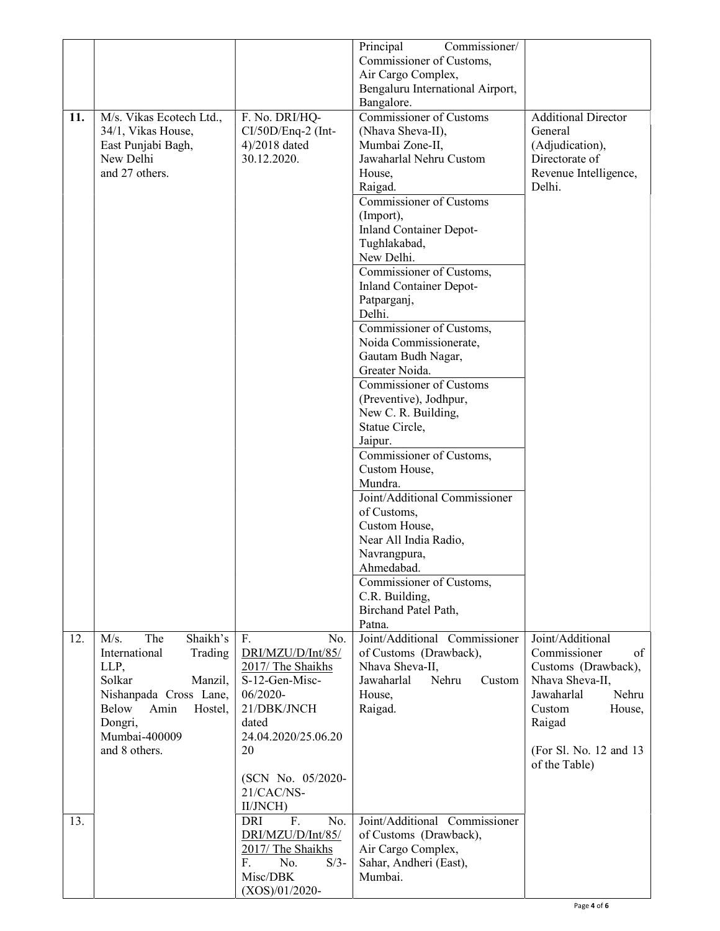|     |                          |                              | Principal<br>Commissioner/                   |                                 |
|-----|--------------------------|------------------------------|----------------------------------------------|---------------------------------|
|     |                          |                              | Commissioner of Customs,                     |                                 |
|     |                          |                              | Air Cargo Complex,                           |                                 |
|     |                          |                              | Bengaluru International Airport,             |                                 |
|     |                          |                              | Bangalore.                                   |                                 |
| 11. | M/s. Vikas Ecotech Ltd., | F. No. DRI/HQ-               | Commissioner of Customs                      | <b>Additional Director</b>      |
|     | 34/1, Vikas House,       | CI/50D/Enq-2 (Int-           | (Nhava Sheva-II),                            | General                         |
|     | East Punjabi Bagh,       | 4)/2018 dated                | Mumbai Zone-II,                              | (Adjudication),                 |
|     | New Delhi                | 30.12.2020.                  | Jawaharlal Nehru Custom                      | Directorate of                  |
|     | and 27 others.           |                              | House,                                       | Revenue Intelligence,<br>Delhi. |
|     |                          |                              | Raigad.<br><b>Commissioner of Customs</b>    |                                 |
|     |                          |                              |                                              |                                 |
|     |                          |                              | (Import),<br><b>Inland Container Depot-</b>  |                                 |
|     |                          |                              | Tughlakabad,                                 |                                 |
|     |                          |                              | New Delhi.                                   |                                 |
|     |                          |                              | Commissioner of Customs,                     |                                 |
|     |                          |                              | <b>Inland Container Depot-</b>               |                                 |
|     |                          |                              | Patparganj,                                  |                                 |
|     |                          |                              | Delhi.                                       |                                 |
|     |                          |                              | Commissioner of Customs,                     |                                 |
|     |                          |                              | Noida Commissionerate,                       |                                 |
|     |                          |                              | Gautam Budh Nagar,                           |                                 |
|     |                          |                              | Greater Noida.                               |                                 |
|     |                          |                              | Commissioner of Customs                      |                                 |
|     |                          |                              | (Preventive), Jodhpur,                       |                                 |
|     |                          |                              | New C. R. Building,                          |                                 |
|     |                          |                              | Statue Circle,                               |                                 |
|     |                          |                              | Jaipur.                                      |                                 |
|     |                          |                              | Commissioner of Customs,                     |                                 |
|     |                          |                              | Custom House,                                |                                 |
|     |                          |                              | Mundra.                                      |                                 |
|     |                          |                              | Joint/Additional Commissioner<br>of Customs, |                                 |
|     |                          |                              | Custom House,                                |                                 |
|     |                          |                              | Near All India Radio,                        |                                 |
|     |                          |                              | Navrangpura,                                 |                                 |
|     |                          |                              | Ahmedabad.                                   |                                 |
|     |                          |                              | Commissioner of Customs,                     |                                 |
|     |                          |                              | C.R. Building,                               |                                 |
|     |                          |                              | Birchand Patel Path,                         |                                 |
|     |                          |                              | Patna.                                       |                                 |
| 12. | Shaikh's<br>The<br>M/s.  | F.<br>No.                    | Joint/Additional Commissioner                | Joint/Additional                |
|     | International<br>Trading | DRI/MZU/D/Int/85/            | of Customs (Drawback),                       | Commissioner<br>of              |
|     | LLP,                     | 2017/ The Shaikhs            | Nhava Sheva-II,                              | Customs (Drawback),             |
|     | Solkar<br>Manzil,        | S-12-Gen-Misc-               | Nehru<br>Jawaharlal<br>Custom                | Nhava Sheva-II,                 |
|     | Nishanpada Cross Lane,   | 06/2020-                     | House,                                       | Nehru<br>Jawaharlal             |
|     | Below<br>Amin<br>Hostel, | 21/DBK/JNCH                  | Raigad.                                      | Custom<br>House,                |
|     | Dongri,<br>Mumbai-400009 | dated<br>24.04.2020/25.06.20 |                                              | Raigad                          |
|     | and 8 others.            | 20                           |                                              | (For Sl. No. 12 and 13)         |
|     |                          |                              |                                              | of the Table)                   |
|     |                          | (SCN No. 05/2020-            |                                              |                                 |
|     |                          | 21/CAC/NS-                   |                                              |                                 |
|     |                          | II/JNCH)                     |                                              |                                 |
| 13. |                          | F.<br>No.<br><b>DRI</b>      | Joint/Additional Commissioner                |                                 |
|     |                          | DRI/MZU/D/Int/85/            | of Customs (Drawback),                       |                                 |
|     |                          | 2017/ The Shaikhs            | Air Cargo Complex,                           |                                 |
|     |                          | F.<br>No.<br>$S/3-$          | Sahar, Andheri (East),                       |                                 |
|     |                          | Misc/DBK                     | Mumbai.                                      |                                 |
|     |                          | $(XOS)/01/2020$ -            |                                              |                                 |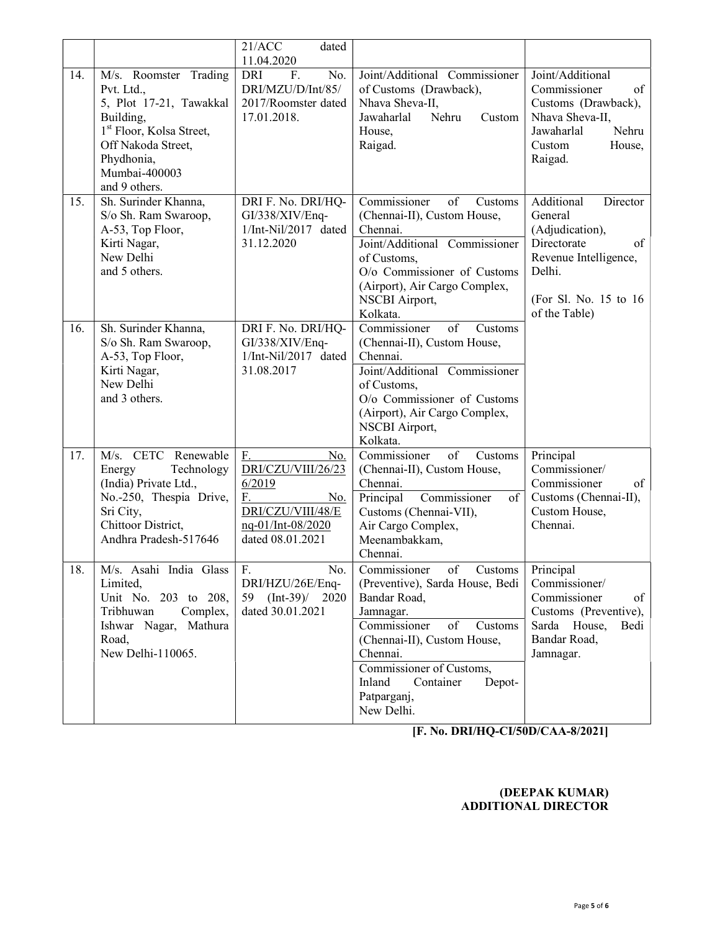|     |                                                                                                                                                                | 21/ACC<br>dated                                                                                                      |                                                                                                                                                                                                                                                                     |                                                                                                                                                         |
|-----|----------------------------------------------------------------------------------------------------------------------------------------------------------------|----------------------------------------------------------------------------------------------------------------------|---------------------------------------------------------------------------------------------------------------------------------------------------------------------------------------------------------------------------------------------------------------------|---------------------------------------------------------------------------------------------------------------------------------------------------------|
| 14. | M/s. Roomster Trading<br>Pvt. Ltd.,                                                                                                                            | 11.04.2020<br><b>DRI</b><br>F.<br>No.<br>DRI/MZU/D/Int/85/                                                           | Joint/Additional Commissioner<br>of Customs (Drawback),                                                                                                                                                                                                             | Joint/Additional<br>Commissioner<br>of                                                                                                                  |
|     | 5, Plot 17-21, Tawakkal<br>Building,<br>1 <sup>st</sup> Floor, Kolsa Street,<br>Off Nakoda Street,<br>Phydhonia,<br>Mumbai-400003<br>and 9 others.             | 2017/Roomster dated<br>17.01.2018.                                                                                   | Nhava Sheva-II,<br>Jawaharlal<br>Nehru<br>Custom<br>House,<br>Raigad.                                                                                                                                                                                               | Customs (Drawback),<br>Nhava Sheva-II,<br>Jawaharlal<br>Nehru<br>Custom<br>House,<br>Raigad.                                                            |
| 15. | Sh. Surinder Khanna,<br>S/o Sh. Ram Swaroop,<br>A-53, Top Floor,<br>Kirti Nagar,<br>New Delhi<br>and 5 others.                                                 | DRI F. No. DRI/HQ-<br>GI/338/XIV/Enq-<br>1/Int-Nil/2017 dated<br>31.12.2020                                          | Commissioner<br>of<br>Customs<br>(Chennai-II), Custom House,<br>Chennai.<br>Joint/Additional Commissioner<br>of Customs,<br>O/o Commissioner of Customs<br>(Airport), Air Cargo Complex,<br>NSCBI Airport,<br>Kolkata.                                              | Additional<br>Director<br>General<br>(Adjudication),<br>Directorate<br>of<br>Revenue Intelligence,<br>Delhi.<br>(For Sl. No. 15 to 16)<br>of the Table) |
| 16. | Sh. Surinder Khanna,<br>S/o Sh. Ram Swaroop,<br>A-53, Top Floor,<br>Kirti Nagar,<br>New Delhi<br>and 3 others.                                                 | DRI F. No. DRI/HQ-<br>GI/338/XIV/Enq-<br>1/Int-Nil/2017 dated<br>31.08.2017                                          | Commissioner<br>of<br>Customs<br>(Chennai-II), Custom House,<br>Chennai.<br>Joint/Additional Commissioner<br>of Customs,<br>O/o Commissioner of Customs<br>(Airport), Air Cargo Complex,<br><b>NSCBI</b> Airport,<br>Kolkata.                                       |                                                                                                                                                         |
| 17. | M/s. CETC<br>Renewable<br>Energy<br>Technology<br>(India) Private Ltd.,<br>No.-250, Thespia Drive,<br>Sri City,<br>Chittoor District,<br>Andhra Pradesh-517646 | F.<br>No.<br>DRI/CZU/VIII/26/23<br>6/2019<br>F.<br>No.<br>DRI/CZU/VIII/48/E<br>nq-01/Int-08/2020<br>dated 08.01.2021 | Commissioner<br>of<br>Customs<br>(Chennai-II), Custom House,<br>Chennai.<br>Commissioner<br>of<br>Principal<br>Customs (Chennai-VII),<br>Air Cargo Complex,<br>Meenambakkam,<br>Chennai.                                                                            | Principal<br>Commissioner/<br>Commissioner<br>of<br>Customs (Chennai-II),<br>Custom House,<br>Chennai.                                                  |
| 18. | M/s. Asahi India Glass<br>Limited,<br>Unit No. 203 to 208,<br>Tribhuwan<br>Complex,<br>Ishwar Nagar, Mathura<br>Road,<br>New Delhi-110065.                     | F.<br>No.<br>DRI/HZU/26E/Enq-<br>59<br>$(Int-39) / 2020$<br>dated 30.01.2021                                         | of<br>Customs<br>Commissioner<br>(Preventive), Sarda House, Bedi<br>Bandar Road,<br>Jamnagar.<br>Commissioner<br>of<br>Customs<br>(Chennai-II), Custom House,<br>Chennai.<br>Commissioner of Customs,<br>Inland<br>Depot-<br>Container<br>Patparganj,<br>New Delhi. | Principal<br>Commissioner/<br>Commissioner<br>of<br>Customs (Preventive),<br>Sarda House,<br>Bedi<br>Bandar Road,<br>Jamnagar.                          |

[F. No. DRI/HQ-CI/50D/CAA-8/2021]

## (DEEPAK KUMAR) ADDITIONAL DIRECTOR